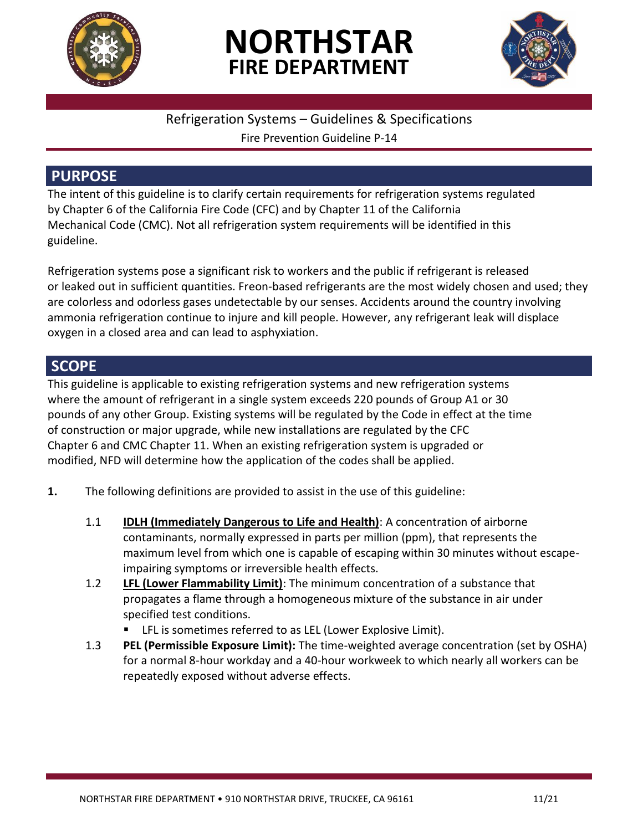

# **NORTHSTAR FIRE DEPARTMENT**



#### Refrigeration Systems – Guidelines & Specifications

Fire Prevention Guideline P-14

### **PURPOSE**

The intent of this guideline is to clarify certain requirements for refrigeration systems regulated by Chapter 6 of the California Fire Code (CFC) and by Chapter 11 of the California Mechanical Code (CMC). Not all refrigeration system requirements will be identified in this guideline.

Refrigeration systems pose a significant risk to workers and the public if refrigerant is released or leaked out in sufficient quantities. Freon-based refrigerants are the most widely chosen and used; they are colorless and odorless gases undetectable by our senses. Accidents around the country involving ammonia refrigeration continue to injure and kill people. However, any refrigerant leak will displace oxygen in a closed area and can lead to asphyxiation.

## **SCOPE**

This guideline is applicable to existing refrigeration systems and new refrigeration systems where the amount of refrigerant in a single system exceeds 220 pounds of Group A1 or 30 pounds of any other Group. Existing systems will be regulated by the Code in effect at the time of construction or major upgrade, while new installations are regulated by the CFC Chapter 6 and CMC Chapter 11. When an existing refrigeration system is upgraded or modified, NFD will determine how the application of the codes shall be applied.

- **1.** The following definitions are provided to assist in the use of this guideline:
	- 1.1 **IDLH (Immediately Dangerous to Life and Health)**: A concentration of airborne contaminants, normally expressed in parts per million (ppm), that represents the maximum level from which one is capable of escaping within 30 minutes without escapeimpairing symptoms or irreversible health effects.
	- 1.2 **LFL (Lower Flammability Limit)**: The minimum concentration of a substance that propagates a flame through a homogeneous mixture of the substance in air under specified test conditions.
		- **EXECT** LFL is sometimes referred to as LEL (Lower Explosive Limit).
	- 1.3 **PEL (Permissible Exposure Limit):** The time-weighted average concentration (set by OSHA) for a normal 8-hour workday and a 40-hour workweek to which nearly all workers can be repeatedly exposed without adverse effects.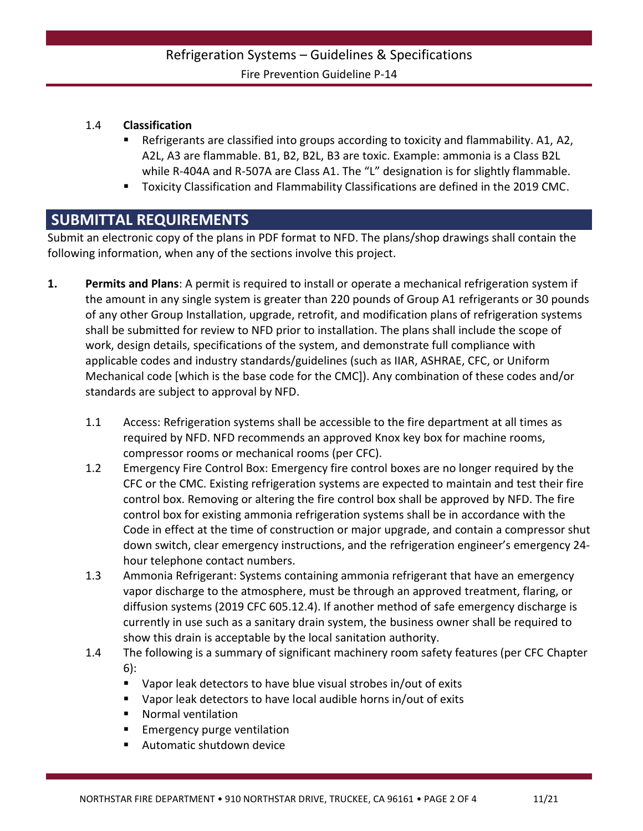#### Refrigeration Systems – Guidelines & Specifications Fire Prevention Guideline P-14

#### 1.4 **Classification**

- Refrigerants are classified into groups according to toxicity and flammability. A1, A2, A2L, A3 are flammable. B1, B2, B2L, B3 are toxic. Example: ammonia is a Class B2L while R-404A and R-507A are Class A1. The "L" designation is for slightly flammable.
- Toxicity Classification and Flammability Classifications are defined in the 2019 CMC.

#### **SUBMITTAL REQUIREMENTS**

Submit an electronic copy of the plans in PDF format to NFD. The plans/shop drawings shall contain the following information, when any of the sections involve this project.

- **1. Permits and Plans**: A permit is required to install or operate a mechanical refrigeration system if the amount in any single system is greater than 220 pounds of Group A1 refrigerants or 30 pounds of any other Group Installation, upgrade, retrofit, and modification plans of refrigeration systems shall be submitted for review to NFD prior to installation. The plans shall include the scope of work, design details, specifications of the system, and demonstrate full compliance with applicable codes and industry standards/guidelines (such as IIAR, ASHRAE, CFC, or Uniform Mechanical code [which is the base code for the CMC]). Any combination of these codes and/or standards are subject to approval by NFD.
	- 1.1 Access: Refrigeration systems shall be accessible to the fire department at all times as required by NFD. NFD recommends an approved Knox key box for machine rooms, compressor rooms or mechanical rooms (per CFC).
	- 1.2 Emergency Fire Control Box: Emergency fire control boxes are no longer required by the CFC or the CMC. Existing refrigeration systems are expected to maintain and test their fire control box. Removing or altering the fire control box shall be approved by NFD. The fire control box for existing ammonia refrigeration systems shall be in accordance with the Code in effect at the time of construction or major upgrade, and contain a compressor shut down switch, clear emergency instructions, and the refrigeration engineer's emergency 24 hour telephone contact numbers.
	- 1.3 Ammonia Refrigerant: Systems containing ammonia refrigerant that have an emergency vapor discharge to the atmosphere, must be through an approved treatment, flaring, or diffusion systems (2019 CFC 605.12.4). If another method of safe emergency discharge is currently in use such as a sanitary drain system, the business owner shall be required to show this drain is acceptable by the local sanitation authority.
	- 1.4 The following is a summary of significant machinery room safety features (per CFC Chapter 6):
		- Vapor leak detectors to have blue visual strobes in/out of exits
		- Vapor leak detectors to have local audible horns in/out of exits
		- Normal ventilation
		- Emergency purge ventilation
		- Automatic shutdown device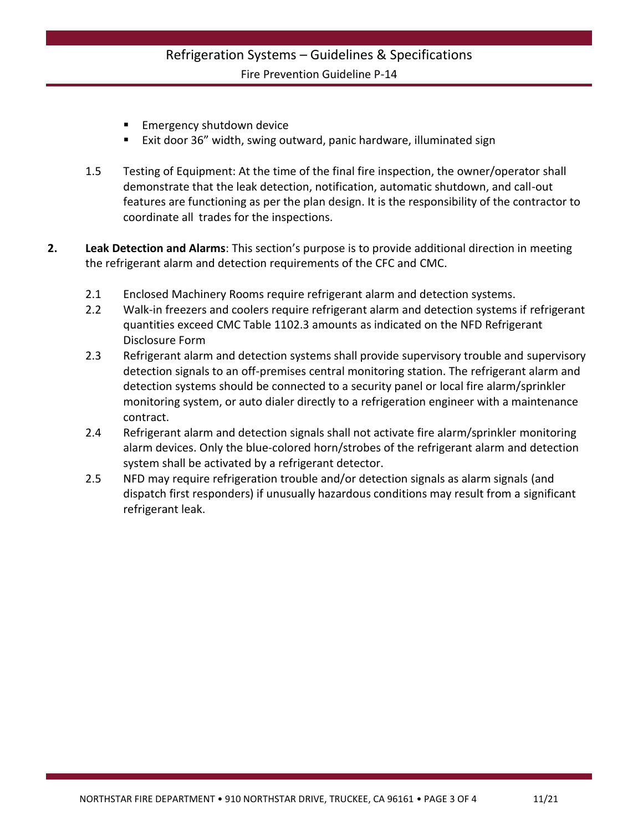#### Refrigeration Systems – Guidelines & Specifications Fire Prevention Guideline P-14

- Emergency shutdown device
- Exit door 36" width, swing outward, panic hardware, illuminated sign
- 1.5 Testing of Equipment: At the time of the final fire inspection, the owner/operator shall demonstrate that the leak detection, notification, automatic shutdown, and call-out features are functioning as per the plan design. It is the responsibility of the contractor to coordinate all trades for the inspections.
- **2. Leak Detection and Alarms**: This section's purpose is to provide additional direction in meeting the refrigerant alarm and detection requirements of the CFC and CMC.
	- 2.1 Enclosed Machinery Rooms require refrigerant alarm and detection systems.
	- 2.2 Walk-in freezers and coolers require refrigerant alarm and detection systems if refrigerant quantities exceed CMC Table 1102.3 amounts as indicated on the NFD Refrigerant Disclosure Form
	- 2.3 Refrigerant alarm and detection systems shall provide supervisory trouble and supervisory detection signals to an off-premises central monitoring station. The refrigerant alarm and detection systems should be connected to a security panel or local fire alarm/sprinkler monitoring system, or auto dialer directly to a refrigeration engineer with a maintenance contract.
	- 2.4 Refrigerant alarm and detection signals shall not activate fire alarm/sprinkler monitoring alarm devices. Only the blue-colored horn/strobes of the refrigerant alarm and detection system shall be activated by a refrigerant detector.
	- 2.5 NFD may require refrigeration trouble and/or detection signals as alarm signals (and dispatch first responders) if unusually hazardous conditions may result from a significant refrigerant leak.